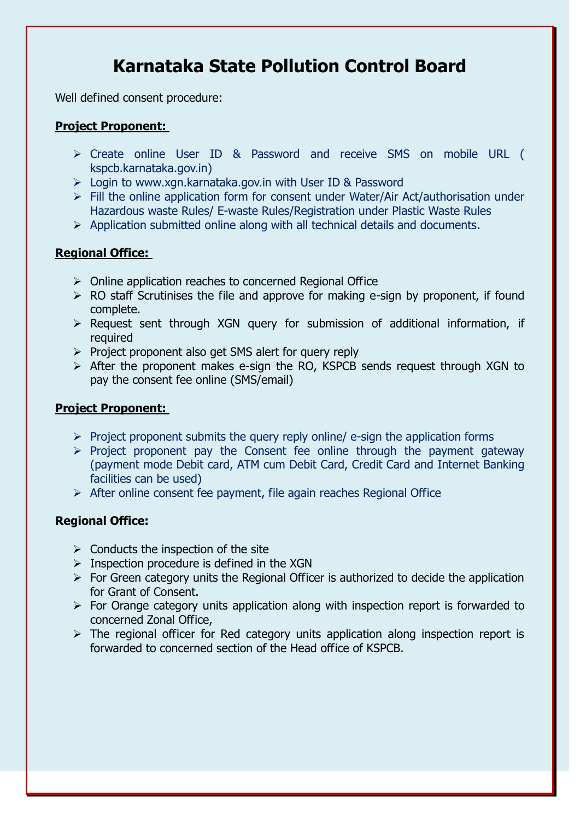# **Karnataka State Pollution Control Board**

Well defined consent procedure:

## **Project Proponent:**

- Create online User ID & Password and receive SMS on mobile URL ( kspcb.karnataka.gov.in)
- $\triangleright$  Login to www.xgn.karnataka.gov.in with User ID & Password
- $\triangleright$  Fill the online application form for consent under Water/Air Act/authorisation under Hazardous waste Rules/ E-waste Rules/Registration under Plastic Waste Rules
- $\triangleright$  Application submitted online along with all technical details and documents.

### **Regional Office:**

- $\triangleright$  Online application reaches to concerned Regional Office
- $\triangleright$  RO staff Scrutinises the file and approve for making e-sign by proponent, if found complete.
- $\triangleright$  Request sent through XGN query for submission of additional information, if required
- $\triangleright$  Project proponent also get SMS alert for query reply
- $\triangleright$  After the proponent makes e-sign the RO, KSPCB sends request through XGN to pay the consent fee online (SMS/email)

#### **Project Proponent:**

- $\triangleright$  Project proponent submits the query reply online/ e-sign the application forms
- $\triangleright$  Project proponent pay the Consent fee online through the payment gateway (payment mode Debit card, ATM cum Debit Card, Credit Card and Internet Banking facilities can be used)
- $\triangleright$  After online consent fee payment, file again reaches Regional Office

#### **Regional Office:**

- $\triangleright$  Conducts the inspection of the site
- $\triangleright$  Inspection procedure is defined in the XGN
- $\triangleright$  For Green category units the Regional Officer is authorized to decide the application for Grant of Consent.
- $\triangleright$  For Orange category units application along with inspection report is forwarded to concerned Zonal Office,
- $\triangleright$  The regional officer for Red category units application along inspection report is forwarded to concerned section of the Head office of KSPCB.